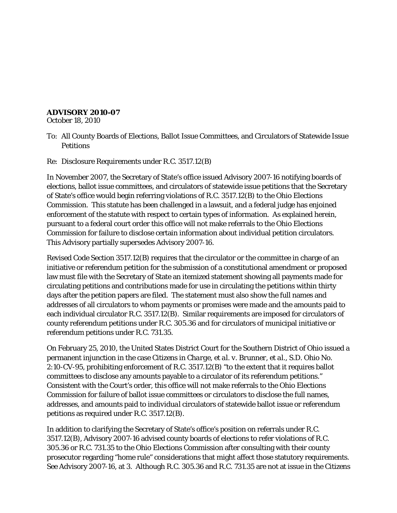## **ADVISORY 2010-07**

October 18, 2010

- To: All County Boards of Elections, Ballot Issue Committees, and Circulators of Statewide Issue **Petitions**
- Re: Disclosure Requirements under R.C. 3517.12(B)

In November 2007, the Secretary of State's office issued Advisory 2007-16 notifying boards of elections, ballot issue committees, and circulators of statewide issue petitions that the Secretary of State's office would begin referring violations of R.C. 3517.12(B) to the Ohio Elections Commission. This statute has been challenged in a lawsuit, and a federal judge has enjoined enforcement of the statute with respect to certain types of information. As explained herein, pursuant to a federal court order this office will not make referrals to the Ohio Elections Commission for failure to disclose certain information about individual petition circulators. This Advisory partially supersedes Advisory 2007-16.

Revised Code Section 3517.12(B) requires that the circulator or the committee in charge of an initiative or referendum petition for the submission of a constitutional amendment or proposed law must file with the Secretary of State an itemized statement showing all payments made for circulating petitions and contributions made for use in circulating the petitions within thirty days after the petition papers are filed. The statement must also show the full names and addresses of all circulators to whom payments or promises were made and the amounts paid to each individual circulator R.C. 3517.12(B). Similar requirements are imposed for circulators of county referendum petitions under R.C. 305.36 and for circulators of municipal initiative or referendum petitions under R.C. 731.35.

On February 25, 2010, the United States District Court for the Southern District of Ohio issued a permanent injunction in the case *Citizens in Charge, et al. v. Brunner, et al.*, S.D. Ohio No. 2:10-CV-95, prohibiting enforcement of R.C. 3517.12(B) "to the extent that it requires ballot committees to disclose any amounts payable to a circulator of its referendum petitions." Consistent with the Court's order, this office will not make referrals to the Ohio Elections Commission for failure of ballot issue committees or circulators to disclose the full names, addresses, and amounts paid to *individual* circulators of statewide ballot issue or referendum petitions as required under R.C. 3517.12(B).

In addition to clarifying the Secretary of State's office's position on referrals under R.C. 3517.12(B), Advisory 2007-16 advised county boards of elections to refer violations of R.C. 305.36 or R.C. 731.35 to the Ohio Elections Commission after consulting with their county prosecutor regarding "home rule" considerations that might affect those statutory requirements. *See* Advisory 2007-16, at 3. Although R.C. 305.36 and R.C. 731.35 are not at issue in the *Citizens*